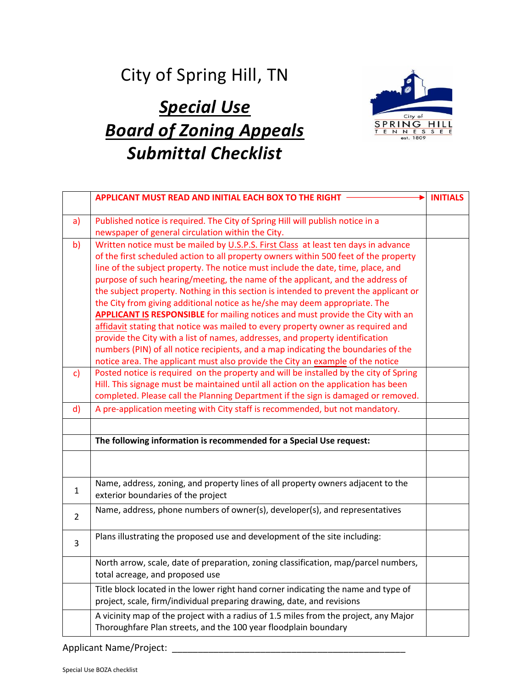## City of Spring Hill, TN

## *Special Use Board of Zoning Appeals Submittal Checklist*



|                | APPLICANT MUST READ AND INITIAL EACH BOX TO THE RIGHT                                                                                                                                                                                                                                                                                                                                                                                                                                                                                                                                                                                                                                                                                                                                                                                                                       | <b>INITIALS</b> |
|----------------|-----------------------------------------------------------------------------------------------------------------------------------------------------------------------------------------------------------------------------------------------------------------------------------------------------------------------------------------------------------------------------------------------------------------------------------------------------------------------------------------------------------------------------------------------------------------------------------------------------------------------------------------------------------------------------------------------------------------------------------------------------------------------------------------------------------------------------------------------------------------------------|-----------------|
| a)             | Published notice is required. The City of Spring Hill will publish notice in a<br>newspaper of general circulation within the City.                                                                                                                                                                                                                                                                                                                                                                                                                                                                                                                                                                                                                                                                                                                                         |                 |
| b)             | Written notice must be mailed by U.S.P.S. First Class at least ten days in advance<br>of the first scheduled action to all property owners within 500 feet of the property<br>line of the subject property. The notice must include the date, time, place, and<br>purpose of such hearing/meeting, the name of the applicant, and the address of<br>the subject property. Nothing in this section is intended to prevent the applicant or<br>the City from giving additional notice as he/she may deem appropriate. The<br><b>APPLICANT IS RESPONSIBLE</b> for mailing notices and must provide the City with an<br>affidavit stating that notice was mailed to every property owner as required and<br>provide the City with a list of names, addresses, and property identification<br>numbers (PIN) of all notice recipients, and a map indicating the boundaries of the |                 |
| $\mathsf{c}$   | notice area. The applicant must also provide the City an example of the notice<br>Posted notice is required on the property and will be installed by the city of Spring<br>Hill. This signage must be maintained until all action on the application has been<br>completed. Please call the Planning Department if the sign is damaged or removed.                                                                                                                                                                                                                                                                                                                                                                                                                                                                                                                          |                 |
| $\mathsf{d}$   | A pre-application meeting with City staff is recommended, but not mandatory.                                                                                                                                                                                                                                                                                                                                                                                                                                                                                                                                                                                                                                                                                                                                                                                                |                 |
|                |                                                                                                                                                                                                                                                                                                                                                                                                                                                                                                                                                                                                                                                                                                                                                                                                                                                                             |                 |
|                | The following information is recommended for a Special Use request:                                                                                                                                                                                                                                                                                                                                                                                                                                                                                                                                                                                                                                                                                                                                                                                                         |                 |
|                |                                                                                                                                                                                                                                                                                                                                                                                                                                                                                                                                                                                                                                                                                                                                                                                                                                                                             |                 |
| 1              | Name, address, zoning, and property lines of all property owners adjacent to the<br>exterior boundaries of the project                                                                                                                                                                                                                                                                                                                                                                                                                                                                                                                                                                                                                                                                                                                                                      |                 |
| $\overline{2}$ | Name, address, phone numbers of owner(s), developer(s), and representatives                                                                                                                                                                                                                                                                                                                                                                                                                                                                                                                                                                                                                                                                                                                                                                                                 |                 |
| 3              | Plans illustrating the proposed use and development of the site including:                                                                                                                                                                                                                                                                                                                                                                                                                                                                                                                                                                                                                                                                                                                                                                                                  |                 |
|                | North arrow, scale, date of preparation, zoning classification, map/parcel numbers,<br>total acreage, and proposed use                                                                                                                                                                                                                                                                                                                                                                                                                                                                                                                                                                                                                                                                                                                                                      |                 |
|                | Title block located in the lower right hand corner indicating the name and type of<br>project, scale, firm/individual preparing drawing, date, and revisions                                                                                                                                                                                                                                                                                                                                                                                                                                                                                                                                                                                                                                                                                                                |                 |
|                | A vicinity map of the project with a radius of 1.5 miles from the project, any Major<br>Thoroughfare Plan streets, and the 100 year floodplain boundary                                                                                                                                                                                                                                                                                                                                                                                                                                                                                                                                                                                                                                                                                                                     |                 |

Applicant Name/Project: